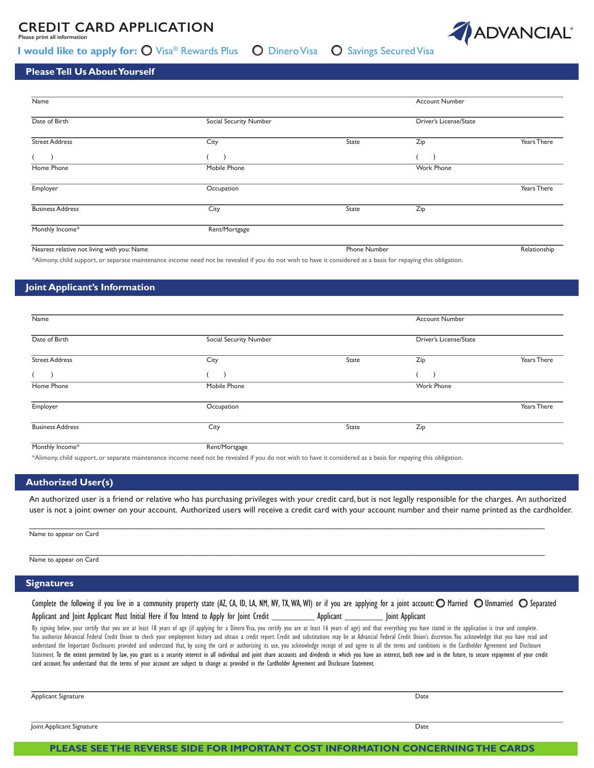## **CREDIT CARD APPLICATION**

**Please print all information** 

### **I would like to apply for: O** Visa® Rewards Plus M Dinero Visa M Savings Secured Visa



#### **Please Tell Us About Yourself**

| Name                                       |                        |                     | <b>Account Number</b>  |                    |
|--------------------------------------------|------------------------|---------------------|------------------------|--------------------|
| Date of Birth                              | Social Security Number |                     | Driver's License/State |                    |
| <b>Street Address</b>                      | City                   | State               | Zip                    | Years There        |
|                                            |                        |                     |                        |                    |
| Home Phone                                 | Mobile Phone           |                     | <b>Work Phone</b>      |                    |
| Employer                                   | Occupation             |                     |                        | <b>Years There</b> |
| <b>Business Address</b>                    | City                   | State               | Zip                    |                    |
| Monthly Income*                            | Rent/Mortgage          |                     |                        |                    |
| Nearest relative not living with you: Name |                        | <b>Phone Number</b> |                        | Relationship       |

\*Alimony, child support, or separate maintenance income need not be revealed if you do not wish to have it considered as a basis for repaying this obligation.

### **Joint Applicant's Information**

| Name                    |                        | Account Number |                        |             |
|-------------------------|------------------------|----------------|------------------------|-------------|
| Date of Birth           | Social Security Number |                | Driver's License/State |             |
| <b>Street Address</b>   | City                   | State          | Zip                    | Years There |
|                         |                        |                |                        |             |
| Home Phone              | Mobile Phone           |                | Work Phone             |             |
| Employer                | Occupation             |                |                        | Years There |
| <b>Business Address</b> | City                   | State          | Zip                    |             |
| Monthly Income*         | Rent/Mortgage          |                |                        |             |

\*Alimony, child support, or separate maintenance income need not be revealed if you do not wish to have it considered as a basis for repaying this obligation.

#### **Authorized User(s)**

 An authorized user is a friend or relative who has purchasing privileges with your credit card, but is not legally responsible for the charges. An authorized user is not a joint owner on your account. Authorized users will receive a credit card with your account number and their name printed as the cardholder.

\_\_\_\_\_\_\_\_\_\_\_\_\_\_\_\_\_\_\_\_\_\_\_\_\_\_\_\_\_\_\_\_\_\_\_\_\_\_\_\_\_\_\_\_\_\_\_\_\_\_\_\_\_\_\_\_\_\_\_\_\_\_\_\_\_\_\_\_\_\_\_\_\_\_\_\_\_\_\_\_\_\_\_\_\_\_\_\_\_\_\_\_\_\_\_\_\_\_\_\_\_\_\_\_\_\_\_

\_\_\_\_\_\_\_\_\_\_\_\_\_\_\_\_\_\_\_\_\_\_\_\_\_\_\_\_\_\_\_\_\_\_\_\_\_\_\_\_\_\_\_\_\_\_\_\_\_\_\_\_\_\_\_\_\_\_\_\_\_\_\_\_\_\_\_\_\_\_\_\_\_\_\_\_\_\_\_\_\_\_\_\_\_\_\_\_\_\_\_\_\_\_\_\_\_\_\_\_\_\_\_\_\_\_\_

| Name to appear on Card |
|------------------------|
|                        |

| Name to appear on Card |  |  |  |
|------------------------|--|--|--|
|------------------------|--|--|--|

#### **Signatures**

| Complete the following if you live in a community property state (AZ, CA, ID, LA, NM, NV, TX, WA, WI) or if you are applying for a joint account: $\bigcirc$ Married $\bigcirc$ Unmarried $\bigcirc$ Separated |           |                 |  |
|----------------------------------------------------------------------------------------------------------------------------------------------------------------------------------------------------------------|-----------|-----------------|--|
| Applicant and Joint Applicant Must Initial Here if You Intend to Apply for Joint Credit                                                                                                                        | Applicant | Joint Applicant |  |

By signing below, your certify that you are at least 18 years of age (if applying for a Dinero Visa, you certify you are at least 16 years of age) and that everything you have stated in the application is true and complete You authorize Advancial Federal Credit Union to check your employment history and obtain a credit report. Credit and substitutions may be at Advancial Federal Credit Union's discretion. You acknowledge that you have read a understand the Important Disclosures provided and understand that, by using the card or authorizing its use, you acknowledge receipt of and agree to all the terms and conditions in the Cardholder Agreement and Disclosure Statement. To the extent permitted by law, you grant us a security interest in all individual and joint share accounts and dividends in which you have an interest, both now and in the future, to secure repayment of your cr card account. You understand that the terms of your account are subject to change as provided in the Cardholder Agreement and Disclosure Statement.

Applicant Signature Date

Joint Applicant Signature Date

**PLEASE SEE THE REVERSE SIDE FOR IMPORTANT COST INFORMATION CONCERNING THE CARDS**